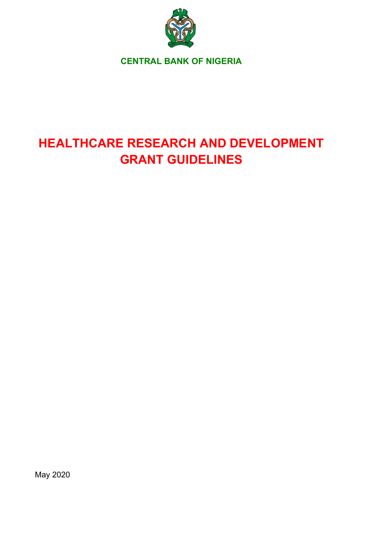

**CENTRAL BANK OF NIGERIA**

# **HEALTHCARE RESEARCH AND DEVELOPMENT GRANT GUIDELINES**

May 2020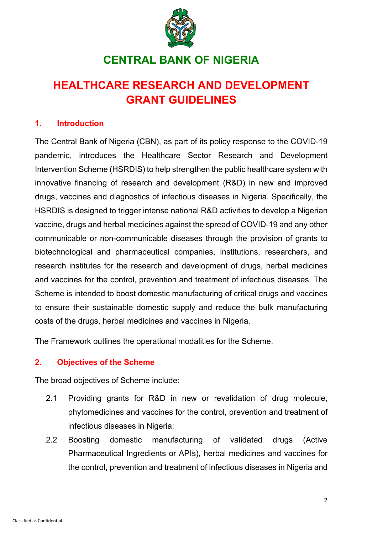

# **CENTRAL BANK OF NIGERIA**

# **HEALTHCARE RESEARCH AND DEVELOPMENT GRANT GUIDELINES**

#### **1. Introduction**

The Central Bank of Nigeria (CBN), as part of its policy response to the COVID-19 pandemic, introduces the Healthcare Sector Research and Development Intervention Scheme (HSRDIS) to help strengthen the public healthcare system with innovative financing of research and development (R&D) in new and improved drugs, vaccines and diagnostics of infectious diseases in Nigeria. Specifically, the HSRDIS is designed to trigger intense national R&D activities to develop a Nigerian vaccine, drugs and herbal medicines against the spread of COVID-19 and any other communicable or non-communicable diseases through the provision of grants to biotechnological and pharmaceutical companies, institutions, researchers, and research institutes for the research and development of drugs, herbal medicines and vaccines for the control, prevention and treatment of infectious diseases. The Scheme is intended to boost domestic manufacturing of critical drugs and vaccines to ensure their sustainable domestic supply and reduce the bulk manufacturing costs of the drugs, herbal medicines and vaccines in Nigeria.

The Framework outlines the operational modalities for the Scheme.

#### **2. Objectives of the Scheme**

The broad objectives of Scheme include:

- 2.1 Providing grants for R&D in new or revalidation of drug molecule, phytomedicines and vaccines for the control, prevention and treatment of infectious diseases in Nigeria;
- 2.2 Boosting domestic manufacturing of validated drugs (Active Pharmaceutical Ingredients or APIs), herbal medicines and vaccines for the control, prevention and treatment of infectious diseases in Nigeria and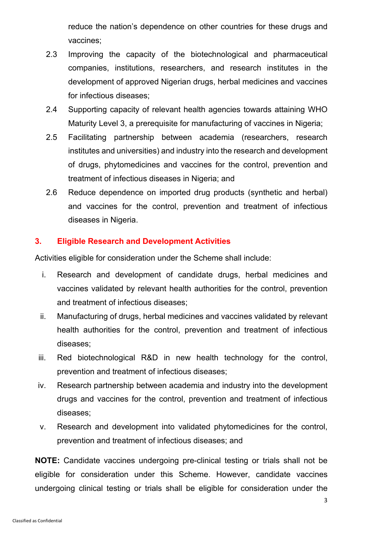reduce the nation's dependence on other countries for these drugs and vaccines;

- 2.3 Improving the capacity of the biotechnological and pharmaceutical companies, institutions, researchers, and research institutes in the development of approved Nigerian drugs, herbal medicines and vaccines for infectious diseases;
- 2.4 Supporting capacity of relevant health agencies towards attaining WHO Maturity Level 3, a prerequisite for manufacturing of vaccines in Nigeria;
- 2.5 Facilitating partnership between academia (researchers, research institutes and universities) and industry into the research and development of drugs, phytomedicines and vaccines for the control, prevention and treatment of infectious diseases in Nigeria; and
- 2.6 Reduce dependence on imported drug products (synthetic and herbal) and vaccines for the control, prevention and treatment of infectious diseases in Nigeria.

#### **3. Eligible Research and Development Activities**

Activities eligible for consideration under the Scheme shall include:

- i. Research and development of candidate drugs, herbal medicines and vaccines validated by relevant health authorities for the control, prevention and treatment of infectious diseases;
- ii. Manufacturing of drugs, herbal medicines and vaccines validated by relevant health authorities for the control, prevention and treatment of infectious diseases;
- iii. Red biotechnological R&D in new health technology for the control, prevention and treatment of infectious diseases;
- iv. Research partnership between academia and industry into the development drugs and vaccines for the control, prevention and treatment of infectious diseases;
- v. Research and development into validated phytomedicines for the control, prevention and treatment of infectious diseases; and

**NOTE:** Candidate vaccines undergoing pre-clinical testing or trials shall not be eligible for consideration under this Scheme. However, candidate vaccines undergoing clinical testing or trials shall be eligible for consideration under the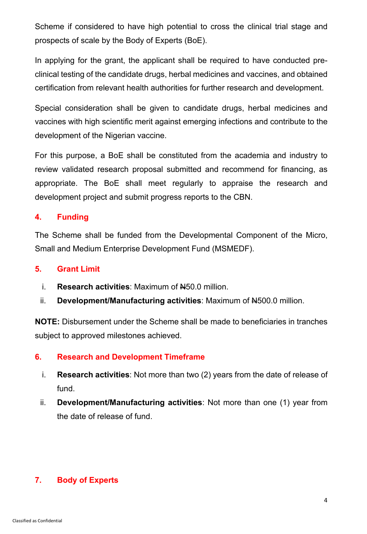Scheme if considered to have high potential to cross the clinical trial stage and prospects of scale by the Body of Experts (BoE).

In applying for the grant, the applicant shall be required to have conducted preclinical testing of the candidate drugs, herbal medicines and vaccines, and obtained certification from relevant health authorities for further research and development.

Special consideration shall be given to candidate drugs, herbal medicines and vaccines with high scientific merit against emerging infections and contribute to the development of the Nigerian vaccine.

For this purpose, a BoE shall be constituted from the academia and industry to review validated research proposal submitted and recommend for financing, as appropriate. The BoE shall meet regularly to appraise the research and development project and submit progress reports to the CBN.

#### **4. Funding**

The Scheme shall be funded from the Developmental Component of the Micro, Small and Medium Enterprise Development Fund (MSMEDF).

#### **5. Grant Limit**

- i. **Research activities**: Maximum of  $\mu$ 50.0 million.
- ii. **Development/Manufacturing activities**: Maximum of  $\mu$ 500.0 million.

**NOTE:** Disbursement under the Scheme shall be made to beneficiaries in tranches subject to approved milestones achieved.

#### **6. Research and Development Timeframe**

- i. **Research activities**: Not more than two (2) years from the date of release of fund.
- ii. **Development/Manufacturing activities**: Not more than one (1) year from the date of release of fund.

## **7. Body of Experts**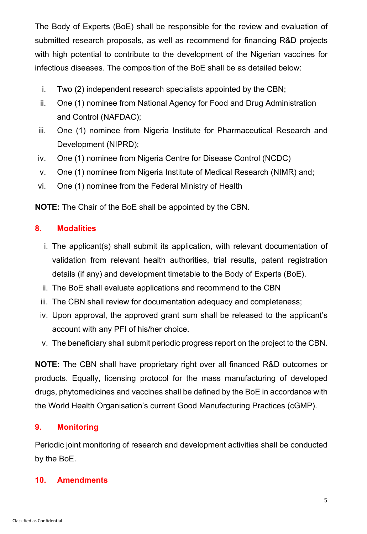The Body of Experts (BoE) shall be responsible for the review and evaluation of submitted research proposals, as well as recommend for financing R&D projects with high potential to contribute to the development of the Nigerian vaccines for infectious diseases. The composition of the BoE shall be as detailed below:

- i. Two (2) independent research specialists appointed by the CBN;
- ii. One (1) nominee from National Agency for Food and Drug Administration and Control (NAFDAC);
- iii. One (1) nominee from Nigeria Institute for Pharmaceutical Research and Development (NIPRD);
- iv. One (1) nominee from Nigeria Centre for Disease Control (NCDC)
- v. One (1) nominee from Nigeria Institute of Medical Research (NIMR) and;
- vi. One (1) nominee from the Federal Ministry of Health

**NOTE:** The Chair of the BoE shall be appointed by the CBN.

#### **8. Modalities**

- i. The applicant(s) shall submit its application, with relevant documentation of validation from relevant health authorities, trial results, patent registration details (if any) and development timetable to the Body of Experts (BoE).
- ii. The BoE shall evaluate applications and recommend to the CBN
- iii. The CBN shall review for documentation adequacy and completeness;
- iv. Upon approval, the approved grant sum shall be released to the applicant's account with any PFI of his/her choice.
- v. The beneficiary shall submit periodic progress report on the project to the CBN.

**NOTE:** The CBN shall have proprietary right over all financed R&D outcomes or products. Equally, licensing protocol for the mass manufacturing of developed drugs, phytomedicines and vaccines shall be defined by the BoE in accordance with the World Health Organisation's current Good Manufacturing Practices (cGMP).

#### **9. Monitoring**

Periodic joint monitoring of research and development activities shall be conducted by the BoE.

#### **10. Amendments**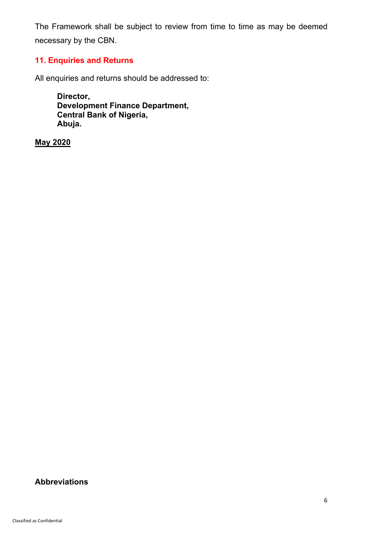The Framework shall be subject to review from time to time as may be deemed necessary by the CBN.

### **11. Enquiries and Returns**

All enquiries and returns should be addressed to:

**Director, Development Finance Department, Central Bank of Nigeria, Abuja.**

**May 2020**

### **Abbreviations**